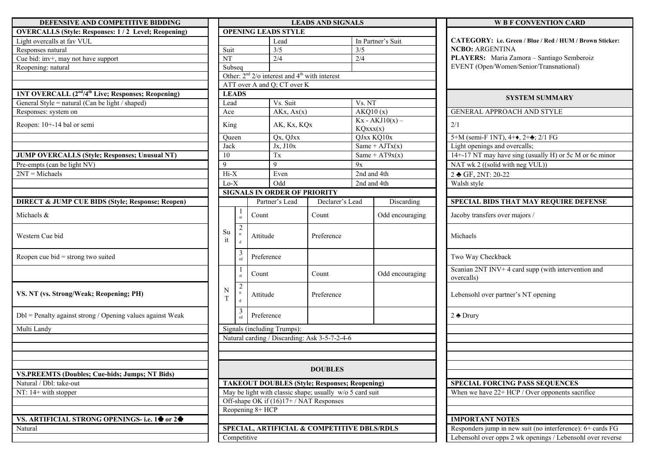| DEFENSIVE AND COMPETITIVE BIDDING                                          |                            |                                               |                                                          | <b>LEADS AND SIGNALS</b> |                    |                               |  |
|----------------------------------------------------------------------------|----------------------------|-----------------------------------------------|----------------------------------------------------------|--------------------------|--------------------|-------------------------------|--|
| <b>OVERCALLS (Style: Responses: 1/2 Level; Reopening)</b>                  |                            |                                               | <b>OPENING LEADS STYLE</b>                               |                          |                    |                               |  |
| Light overcalls at fav VUL                                                 |                            |                                               | Lead                                                     |                          |                    | In Partner's Suit             |  |
| Responses natural                                                          | Suit                       |                                               | $\overline{\frac{3}{5}}$                                 |                          | 3/5                |                               |  |
| Cue bid: inv+, may not have support                                        | NT                         |                                               | $\overline{2/4}$                                         |                          | $\overline{2/4}$   |                               |  |
| Reopening: natural                                                         | $\overline{\text{Subseq}}$ |                                               |                                                          |                          |                    |                               |  |
|                                                                            |                            |                                               | Other: $2nd$ $2$ /o interest and $4th$ with interest     |                          |                    |                               |  |
|                                                                            |                            |                                               | ATT over A and Q; CT over K                              |                          |                    |                               |  |
| 1NT OVERCALL (2 <sup>nd</sup> /4 <sup>th</sup> Live; Responses; Reopening) |                            | <b>LEADS</b>                                  |                                                          |                          |                    |                               |  |
| General Style = natural (Can be light / shaped)                            | Lead                       |                                               | Vs. Suit                                                 |                          | Vs. NT<br>AKQ10(x) |                               |  |
| Responses: system on                                                       | Ace                        |                                               | AKx, Ax(x)                                               |                          |                    |                               |  |
| Reopen: 10+-14 bal or semi                                                 |                            | King                                          |                                                          | AK, Kx, KQx              |                    | $Kx - AKJ10(x) -$<br>KQxxx(x) |  |
|                                                                            | Queen                      |                                               | Qx, QJxx<br>Jx, J10x                                     |                          |                    | QJxx KQ10x                    |  |
|                                                                            |                            | Jack                                          |                                                          |                          | Same + $AJTx(x)$   |                               |  |
| <b>JUMP OVERCALLS (Style; Responses; Unusual NT)</b>                       | 10                         |                                               | Tx                                                       |                          |                    | Same + $AT9x(x)$              |  |
| Pre-empts (can be light NV)                                                | 9                          |                                               | 9                                                        | 9x                       |                    |                               |  |
| $2NT = Michaels$                                                           | Hi-X                       |                                               | Even                                                     |                          | 2nd and 4th        |                               |  |
|                                                                            | $Lo-X$                     |                                               | Odd                                                      |                          |                    | 2nd and 4th                   |  |
|                                                                            |                            |                                               | <b>SIGNALS IN ORDER OF PRIORITY</b>                      |                          |                    |                               |  |
| <b>DIRECT &amp; JUMP CUE BIDS (Style; Response; Reopen)</b>                |                            |                                               | Partner's Lead                                           | Declarer's Lead          |                    | Disca                         |  |
| Michaels &                                                                 |                            | -1<br>$\operatorname{st}$                     | Count                                                    | Count                    |                    | Odd enco                      |  |
| Western Cue bid                                                            | Su<br>it                   | $\overline{2}$<br>$\mathbf n$<br>$\mathbf{d}$ | Attitude                                                 | Preference               |                    |                               |  |
| Reopen cue bid = strong two suited                                         |                            | 3<br>rd                                       | Preference                                               |                          |                    |                               |  |
|                                                                            |                            | 1<br>st                                       | Count                                                    | Count                    |                    | Odd enco                      |  |
| VS. NT (vs. Strong/Weak; Reopening; PH)                                    | N<br>T                     | $\overline{2}$<br>$\mathbf n$<br>$\mathbf d$  | Attitude                                                 | Preference               |                    |                               |  |
| $Dbl = Penalty$ against strong / Opening values against Weak               |                            | 3<br>rd                                       | Preference                                               |                          |                    |                               |  |
| Multi Landy                                                                |                            |                                               | Signals (including Trumps):                              |                          |                    |                               |  |
|                                                                            |                            |                                               | Natural carding / Discarding: Ask 3-5-7-2-4-6            |                          |                    |                               |  |
|                                                                            |                            |                                               |                                                          |                          |                    |                               |  |
|                                                                            |                            |                                               |                                                          |                          |                    |                               |  |
|                                                                            |                            |                                               |                                                          |                          |                    |                               |  |
| <b>VS.PREEMTS (Doubles; Cue-bids; Jumps; NT Bids)</b>                      |                            |                                               |                                                          | <b>DOUBLES</b>           |                    |                               |  |
| Natural / Dbl: take-out                                                    |                            |                                               | <b>TAKEOUT DOUBLES (Style; Responses; Reopening)</b>     |                          |                    |                               |  |
| NT: $14+$ with stopper                                                     |                            |                                               | May be light with classic shape; usually w/o 5 card suit |                          |                    |                               |  |
|                                                                            |                            |                                               | Off-shape OK if (16)17+/NAT Responses                    |                          |                    |                               |  |
|                                                                            |                            |                                               | Reopening 8+ HCP                                         |                          |                    |                               |  |
| VS. ARTIFICIAL STRONG OPENINGS- i.e. 1 <sup>4</sup> or 2 <sup>4</sup>      |                            |                                               |                                                          |                          |                    |                               |  |
| Natural                                                                    |                            |                                               | SPECIAL, ARTIFICIAL & COMPETITIVE DBLS/RDLS              |                          |                    |                               |  |
|                                                                            |                            |                                               | Competitive                                              |                          |                    |                               |  |

| <b>D COMPETITIVE BIDDING</b>                       |                                                      |              |                  |                                                    | <b>LEADS AND SIGNALS</b>                                   |                                     |                   | <b>W B F CONVENTION CA</b>                              |  |  |
|----------------------------------------------------|------------------------------------------------------|--------------|------------------|----------------------------------------------------|------------------------------------------------------------|-------------------------------------|-------------------|---------------------------------------------------------|--|--|
| sponses: 1/2 Level; Reopening)                     |                                                      |              |                  | <b>OPENING LEADS STYLE</b>                         |                                                            |                                     |                   |                                                         |  |  |
|                                                    |                                                      |              |                  | Lead                                               |                                                            |                                     | In Partner's Suit | CATEGORY: i.e. Green / Blue / Red / HUM                 |  |  |
|                                                    | Suit                                                 |              |                  | $\overline{\frac{3}{5}}$                           |                                                            | 3/5                                 |                   | <b>NCBO: ARGENTINA</b>                                  |  |  |
| e support                                          | NT                                                   |              |                  | 2/4                                                |                                                            | 2/4                                 |                   | PLAYERS: Maria Zamora - Santiago Sen                    |  |  |
|                                                    | Subseq                                               |              |                  |                                                    |                                                            |                                     |                   | EVENT (Open/Women/Senior/Transnationa                   |  |  |
|                                                    |                                                      |              |                  | Other: $2nd 2$ /o interest and $4th$ with interest |                                                            |                                     |                   |                                                         |  |  |
|                                                    |                                                      |              |                  | ATT over A and Q; CT over K                        |                                                            |                                     |                   |                                                         |  |  |
| Live; Responses; Reopening)                        |                                                      | <b>LEADS</b> |                  |                                                    |                                                            |                                     |                   | <b>SYSTEM SUMMARY</b>                                   |  |  |
| in be light / shaped)                              | Lead                                                 |              |                  | Vs. Suit                                           |                                                            | Vs. NT                              |                   |                                                         |  |  |
|                                                    | Ace                                                  |              |                  | AKx, Ax(x)                                         |                                                            |                                     | AKQ10(x)          | GENERAL APPROACH AND STYLE                              |  |  |
|                                                    |                                                      | King         |                  | AK, Kx, KQx                                        |                                                            | $Kx - AKJ10(x) -$<br>KQxxx(x)       |                   | 2/1                                                     |  |  |
|                                                    | Oueen                                                |              |                  | Qx, QJxx                                           |                                                            |                                     | QJxx KQ10x        | 5+M (semi-F 1NT), 4+ $\bullet$ , 2+ $\bullet$ ; 2/1 FG  |  |  |
|                                                    | Jack                                                 |              |                  | Jx, J10x                                           |                                                            |                                     | Same + $AJTx(x)$  | Light openings and overcalls;                           |  |  |
| yle; Responses; Unusual NT)                        | 10                                                   |              |                  | Tx                                                 |                                                            |                                     | Same + $AT9x(x)$  | 14+-17 NT may have sing (usually H) or 5c               |  |  |
|                                                    | $\mathbf Q$                                          |              |                  | 9                                                  | 9x                                                         |                                     |                   | NAT wk 2 ((solid with neg VUL))                         |  |  |
|                                                    | $Hi-X$                                               |              |                  | Even                                               |                                                            |                                     | 2nd and 4th       | 2 GF, 2NT: 20-22                                        |  |  |
|                                                    | $Lo-X$                                               |              |                  | Odd                                                |                                                            |                                     | 2nd and 4th       | Walsh style                                             |  |  |
|                                                    |                                                      |              |                  | <b>SIGNALS IN ORDER OF PRIORITY</b>                |                                                            |                                     |                   |                                                         |  |  |
| <b>BIDS (Style; Response; Reopen)</b>              |                                                      |              |                  | Partner's Lead                                     | Declarer's Lead                                            |                                     | Discarding        | <b>SPECIAL BIDS THAT MAY REQUIRE</b>                    |  |  |
|                                                    |                                                      | st           | Count            |                                                    | Count                                                      |                                     | Odd encouraging   | Jacoby transfers over majors /                          |  |  |
|                                                    | Su<br>it                                             | 2<br>d       | Attitude         |                                                    | Preference                                                 |                                     |                   | Michaels                                                |  |  |
| o suited                                           |                                                      | 3<br>rd      |                  | Preference                                         |                                                            |                                     |                   | Two Way Checkback                                       |  |  |
|                                                    |                                                      | st           | Count            |                                                    | Count                                                      |                                     | Odd encouraging   | Scanian 2NT INV+4 card supp (with interve<br>overcalls) |  |  |
| ; Reopening; PH)                                   | 2<br>N<br>$\mathbf n$<br>Attitude<br>Preference<br>T |              |                  |                                                    |                                                            | Lebensohl over partner's NT opening |                   |                                                         |  |  |
| g / Opening values against Weak                    |                                                      | rd           |                  | Preference                                         |                                                            |                                     |                   | $2 \triangle$ Drury                                     |  |  |
|                                                    |                                                      |              |                  | Signals (including Trumps):                        |                                                            |                                     |                   |                                                         |  |  |
|                                                    |                                                      |              |                  |                                                    | Natural carding / Discarding: Ask 3-5-7-2-4-6              |                                     |                   |                                                         |  |  |
|                                                    |                                                      |              |                  |                                                    |                                                            |                                     |                   |                                                         |  |  |
|                                                    |                                                      |              |                  |                                                    |                                                            |                                     |                   |                                                         |  |  |
| <b>Cue-bids; Jumps; NT Bids)</b>                   |                                                      |              |                  |                                                    | <b>DOUBLES</b>                                             |                                     |                   |                                                         |  |  |
|                                                    |                                                      |              |                  |                                                    | <b>TAKEOUT DOUBLES (Style; Responses; Reopening)</b>       |                                     |                   | <b>SPECIAL FORCING PASS SEQUENCE</b>                    |  |  |
|                                                    |                                                      |              |                  |                                                    | May be light with classic shape; usually $w/o 5$ card suit |                                     |                   | When we have $22 + HCP$ / Over opponents s              |  |  |
|                                                    |                                                      |              |                  | Off-shape OK if (16)17+/NAT Responses              |                                                            |                                     |                   |                                                         |  |  |
|                                                    |                                                      |              | Reopening 8+ HCP |                                                    |                                                            |                                     |                   |                                                         |  |  |
| NG OPENINGS- i.e. 1 <sup>4</sup> or 2 <sup>4</sup> |                                                      |              |                  |                                                    |                                                            |                                     |                   | <b>IMPORTANT NOTES</b>                                  |  |  |
|                                                    |                                                      |              |                  |                                                    | SPECIAL, ARTIFICIAL & COMPETITIVE DBLS/RDLS                |                                     |                   | Responders jump in new suit (no interference            |  |  |
|                                                    |                                                      | Competitive  |                  |                                                    |                                                            |                                     |                   | Lebensohl over onns 2 wk openings / Lebens              |  |  |

## **WBF CONVENTION CARD** Light overcalls at fav VUL Lead In Partner's Suit **CATEGORY: i.e. Green / Blue / Red / HUM / Brown Sticker: NCBO: ARGENTINA** PLAYERS: Maria Zamora – Santiago Semberoiz EVENT (Open/Women/Senior/Transnational) GENERAL APPROACH AND STYLE  $5+M$  (semi-F 1NT),  $4+\bullet$ ,  $2+\bullet$ ; 2/1 FG Light openings and overcalls;  $14+ -17$  NT may have sing (usually H) or 5c M or 6c minor NAT wk 2 ((solid with neg VUL))  $2 \triangleleft GF$ , 2NT: 20-22 Walsh style **SPECIAL BIDS THAT MAY REQUIRE DEFENSE** Jacoby transfers over majors / Michaels Two Way Checkback Scanian  $2NT INV+ 4$  card supp (with intervention and overcalls) Lebensohl over partner's NT opening  $2 \triangle$  Drury Natural / Dbl: take-out **TAKEOUT DOUBLES (Style; Responses; Reopening) SPECIAL FORCING PASS SEQUENCES** When we have  $22+ HCP$  / Over opponents sacrifice **IMPORTANT NOTES** Responders jump in new suit (no interference): 6+ cards FG Lebensohl over opps 2 wk openings / Lebensohl over reverse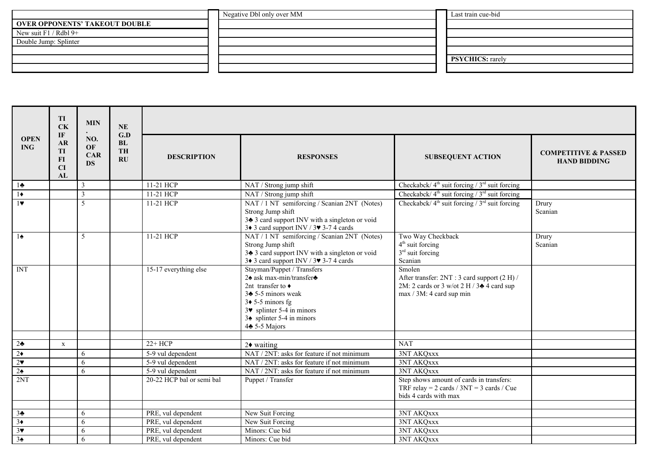|                                       | Negative Dbl only over MM | Last train cue-bid      |
|---------------------------------------|---------------------------|-------------------------|
| <b>OVER OPPONENTS' TAKEOUT DOUBLE</b> |                           |                         |
| New suit $F1 / Rdbl 9+$               |                           |                         |
| Double Jump: Splinter                 |                           |                         |
|                                       |                           |                         |
|                                       |                           | <b>PSYCHICS:</b> rarely |
|                                       |                           |                         |

|                                  | TI<br><b>CK</b><br>IF               | <b>MIN</b>                           | <b>NE</b><br>G.D           |                                          |                                                                                                                                                                                                                                                                       |                                                                                                                                           |                                                        |
|----------------------------------|-------------------------------------|--------------------------------------|----------------------------|------------------------------------------|-----------------------------------------------------------------------------------------------------------------------------------------------------------------------------------------------------------------------------------------------------------------------|-------------------------------------------------------------------------------------------------------------------------------------------|--------------------------------------------------------|
| <b>OPEN</b><br><b>ING</b>        | <b>AR</b><br>TI<br>$FI$<br>CI<br>AL | NO.<br>OF<br><b>CAR</b><br><b>DS</b> | BL<br>TH<br>$\mathbf{R}$ U | <b>DESCRIPTION</b>                       | <b>RESPONSES</b>                                                                                                                                                                                                                                                      | <b>SUBSEQUENT ACTION</b>                                                                                                                  | <b>COMPETITIVE &amp; PASSED</b><br><b>HAND BIDDING</b> |
| $1\bullet$                       |                                     | 3                                    |                            | 11-21 HCP                                | NAT / Strong jump shift                                                                                                                                                                                                                                               | Checkabck/ $4th$ suit forcing / $3rd$ suit forcing                                                                                        |                                                        |
| $\overline{1\bullet}$            |                                     | 3                                    |                            | 11-21 HCP                                | NAT / Strong jump shift                                                                                                                                                                                                                                               | Checkabck/ $4th$ suit forcing / $3rd$ suit forcing                                                                                        |                                                        |
| 1                                |                                     | 5                                    |                            | 11-21 HCP                                | NAT / 1 NT semiforcing / Scanian 2NT (Notes)<br>Strong Jump shift<br>3 <sup>+</sup> 3 card support INV with a singleton or void<br>3+ 3 card support INV / 3 + 3-7 4 cards                                                                                            | Checkabck/ $4th$ suit forcing / $3rd$ suit forcing                                                                                        | Drury<br>Scanian                                       |
| $1\spadesuit$                    |                                     | 5                                    |                            | 11-21 HCP                                | NAT / 1 NT semiforcing / Scanian 2NT (Notes)<br>Strong Jump shift<br>34 3 card support INV with a singleton or void<br>3 $\bullet$ 3 card support INV / 3 $\bullet$ 3-7 4 cards                                                                                       | Two Way Checkback<br>$4th$ suit forcing<br>$3rd$ suit forcing<br>Scanian                                                                  | Drury<br>Scanian                                       |
| <b>INT</b>                       |                                     |                                      |                            | 15-17 everything else                    | Stayman/Puppet / Transfers<br>2◆ ask max-min/transfer→<br>2nt transfer to $\triangleleft$<br>$3\clubsuit$ 5-5 minors weak<br>$3\blacklozenge$ 5-5 minors fg<br>$3\blacktriangleright$ splinter 5-4 in minors<br>$3\spadesuit$ splinter 5-4 in minors<br>4+ 5-5 Majors | Smolen<br>After transfer: 2NT: 3 card support (2 H) /<br>2M: 2 cards or 3 w/ot 2 H / 3 $\triangle$ 4 card sup<br>max / 3M: 4 card sup min |                                                        |
| $2\clubsuit$                     | $\mathbf x$                         |                                      |                            | $22+HCP$                                 |                                                                                                                                                                                                                                                                       | <b>NAT</b>                                                                                                                                |                                                        |
| $2\bullet$                       |                                     | 6                                    |                            | 5-9 vul dependent                        | $2\blacklozenge$ waiting<br>NAT / 2NT: asks for feature if not minimum                                                                                                                                                                                                | 3NT AKQxxx                                                                                                                                |                                                        |
| 2 <sub>v</sub>                   |                                     | 6                                    |                            | 5-9 vul dependent                        | NAT / 2NT: asks for feature if not minimum                                                                                                                                                                                                                            | 3NT AKQxxx                                                                                                                                |                                                        |
| $2\spadesuit$                    |                                     | 6                                    |                            | 5-9 vul dependent                        | NAT / 2NT: asks for feature if not minimum                                                                                                                                                                                                                            | 3NT AKQxxx                                                                                                                                |                                                        |
| 2NT                              |                                     |                                      |                            | 20-22 HCP bal or semi bal                | Puppet / Transfer                                                                                                                                                                                                                                                     | Step shows amount of cards in transfers:<br>TRF relay = $2$ cards / $3NT = 3$ cards / Cue<br>bids 4 cards with max                        |                                                        |
|                                  |                                     |                                      |                            |                                          |                                                                                                                                                                                                                                                                       |                                                                                                                                           |                                                        |
| 3 <sub>2</sub><br>$\overline{3}$ |                                     | 6                                    |                            | PRE, vul dependent                       | New Suit Forcing                                                                                                                                                                                                                                                      | 3NT AKQxxx                                                                                                                                |                                                        |
| 3 <sup>7</sup>                   |                                     | 6                                    |                            | PRE, vul dependent                       | New Suit Forcing<br>Minors: Cue bid                                                                                                                                                                                                                                   | 3NT AKQxxx                                                                                                                                |                                                        |
| 3 <sub>2</sub>                   |                                     | 6<br>6                               |                            | PRE, vul dependent<br>PRE, vul dependent | Minors: Cue bid                                                                                                                                                                                                                                                       | 3NT AKQxxx<br>3NT AKQxxx                                                                                                                  |                                                        |